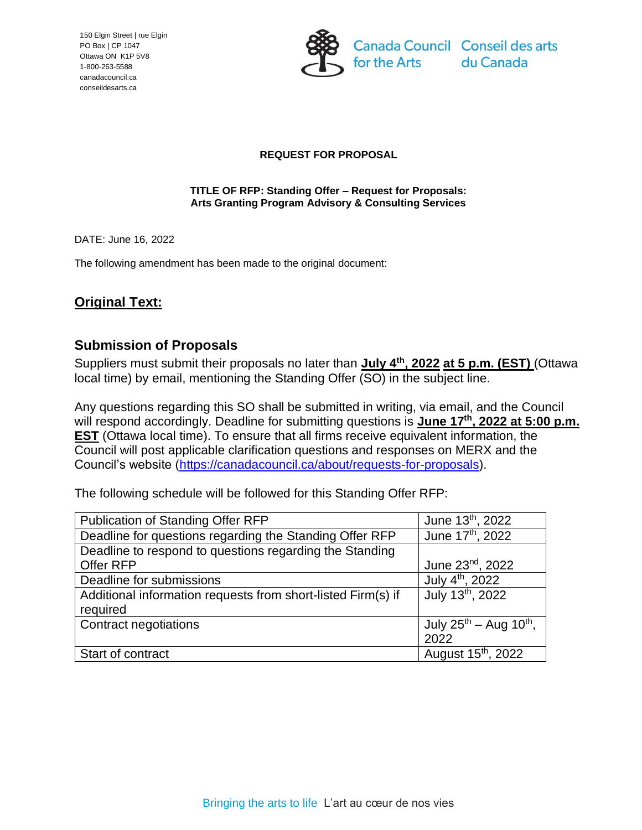150 Elgin Street | rue Elgin PO Box | CP 1047 Ottawa ON K1P 5V8 1-800-263-5588 canadacouncil.ca conseildesarts.ca



### **REQUEST FOR PROPOSAL**

#### **TITLE OF RFP: Standing Offer – Request for Proposals: Arts Granting Program Advisory & Consulting Services**

DATE: June 16, 2022

The following amendment has been made to the original document:

# **Original Text:**

## **Submission of Proposals**

Suppliers must submit their proposals no later than **July 4th , 2022 at 5 p.m. (EST)** (Ottawa local time) by email, mentioning the Standing Offer (SO) in the subject line.

Any questions regarding this SO shall be submitted in writing, via email, and the Council will respond accordingly. Deadline for submitting questions is **June 17th, 2022 at 5:00 p.m. EST** (Ottawa local time). To ensure that all firms receive equivalent information, the Council will post applicable clarification questions and responses on MERX and the Council's website [\(https://canadacouncil.ca/about/requests-for-proposals\)](https://canadacouncil.ca/about/requests-for-proposals).

The following schedule will be followed for this Standing Offer RFP:

| Publication of Standing Offer RFP                            | June 13 <sup>th</sup> , 2022            |
|--------------------------------------------------------------|-----------------------------------------|
| Deadline for questions regarding the Standing Offer RFP      | June 17th, 2022                         |
| Deadline to respond to questions regarding the Standing      |                                         |
| Offer RFP                                                    | June 23nd, 2022                         |
| Deadline for submissions                                     | July 4 <sup>th</sup> , 2022             |
| Additional information requests from short-listed Firm(s) if | July 13th, 2022                         |
| required                                                     |                                         |
| <b>Contract negotiations</b>                                 | July $25^{th}$ – Aug 10 <sup>th</sup> , |
|                                                              | 2022                                    |
| Start of contract                                            | August 15 <sup>th</sup> , 2022          |